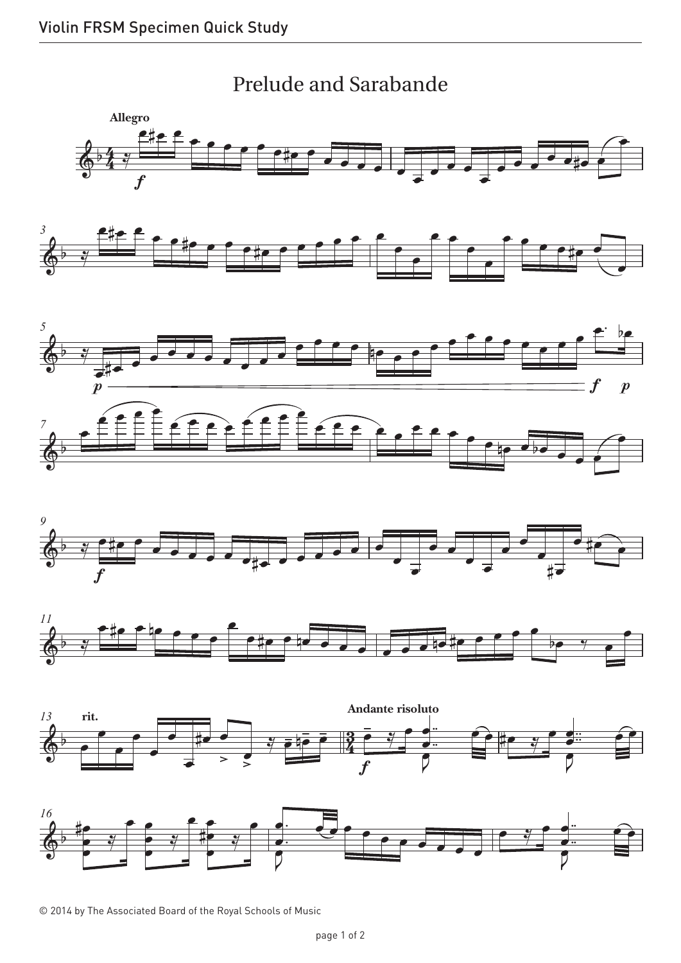

© 2014 by The Associated Board of the Royal Schools of Music